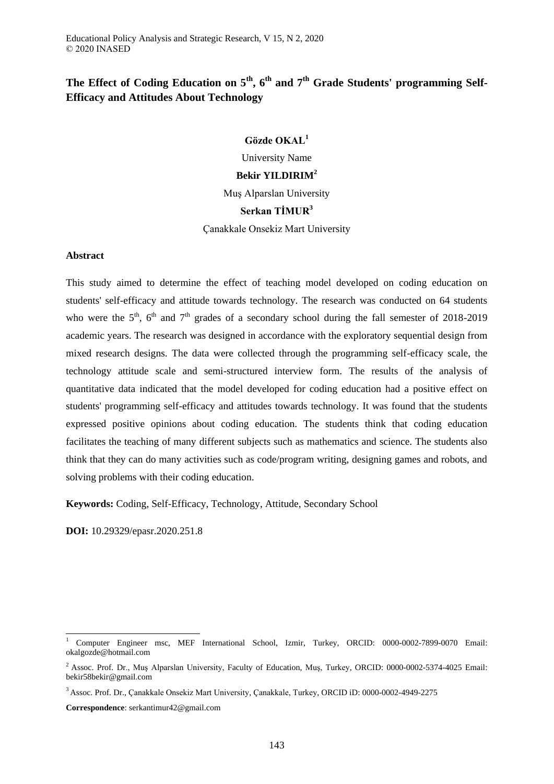# **The Effect of Coding Education on 5th, 6th and 7th Grade Students' programming Self-Efficacy and Attitudes About Technology**

**Gözde OKAL<sup>1</sup>**

University Name

**Bekir YILDIRIM<sup>2</sup>**

Muş Alparslan University

# **Serkan TİMUR<sup>3</sup>**

Çanakkale Onsekiz Mart University

### **Abstract**

This study aimed to determine the effect of teaching model developed on coding education on students' self-efficacy and attitude towards technology. The research was conducted on 64 students who were the  $5<sup>th</sup>$ ,  $6<sup>th</sup>$  and  $7<sup>th</sup>$  grades of a secondary school during the fall semester of 2018-2019 academic years. The research was designed in accordance with the exploratory sequential design from mixed research designs. The data were collected through the programming self-efficacy scale, the technology attitude scale and semi-structured interview form. The results of the analysis of quantitative data indicated that the model developed for coding education had a positive effect on students' programming self-efficacy and attitudes towards technology. It was found that the students expressed positive opinions about coding education. The students think that coding education facilitates the teaching of many different subjects such as mathematics and science. The students also think that they can do many activities such as code/program writing, designing games and robots, and solving problems with their coding education.

**Keywords:** Coding, Self-Efficacy, Technology, Attitude, Secondary School

**DOI:** 10.29329/epasr.2020.251.8

-

**Correspondence**: serkantimur42@gmail.com

<sup>1</sup> Computer Engineer msc, MEF International School, Izmir, Turkey, ORCID: 0000-0002-7899-0070 Email: okalgozde@hotmail.com

<sup>&</sup>lt;sup>2</sup> Assoc. Prof. Dr., Muş Alparslan University, Faculty of Education, Muş, Turkey, ORCID: 0000-0002-5374-4025 Email: bekir58bekir@gmail.com

<sup>3</sup> Assoc. Prof. Dr., Çanakkale Onsekiz Mart University, Çanakkale, Turkey, ORCID iD: 0000-0002-4949-2275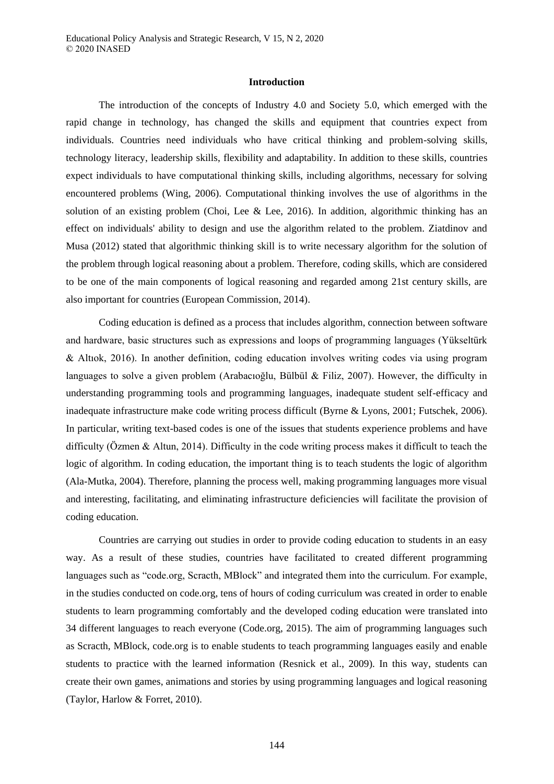#### **Introduction**

The introduction of the concepts of Industry 4.0 and Society 5.0, which emerged with the rapid change in technology, has changed the skills and equipment that countries expect from individuals. Countries need individuals who have critical thinking and problem-solving skills, technology literacy, leadership skills, flexibility and adaptability. In addition to these skills, countries expect individuals to have computational thinking skills, including algorithms, necessary for solving encountered problems (Wing, 2006). Computational thinking involves the use of algorithms in the solution of an existing problem (Choi, Lee & Lee, 2016). In addition, algorithmic thinking has an effect on individuals' ability to design and use the algorithm related to the problem. Ziatdinov and Musa (2012) stated that algorithmic thinking skill is to write necessary algorithm for the solution of the problem through logical reasoning about a problem. Therefore, coding skills, which are considered to be one of the main components of logical reasoning and regarded among 21st century skills, are also important for countries (European Commission, 2014).

Coding education is defined as a process that includes algorithm, connection between software and hardware, basic structures such as expressions and loops of programming languages (Yükseltürk & Altıok, 2016). In another definition, coding education involves writing codes via using program languages to solve a given problem (Arabacıoğlu, Bülbül & Filiz, 2007). However, the difficulty in understanding programming tools and programming languages, inadequate student self-efficacy and inadequate infrastructure make code writing process difficult (Byrne & Lyons, 2001; Futschek, 2006). In particular, writing text-based codes is one of the issues that students experience problems and have difficulty (Özmen & Altun, 2014). Difficulty in the code writing process makes it difficult to teach the logic of algorithm. In coding education, the important thing is to teach students the logic of algorithm (Ala-Mutka, 2004). Therefore, planning the process well, making programming languages more visual and interesting, facilitating, and eliminating infrastructure deficiencies will facilitate the provision of coding education.

Countries are carrying out studies in order to provide coding education to students in an easy way. As a result of these studies, countries have facilitated to created different programming languages such as "code.org, Scracth, MBlock" and integrated them into the curriculum. For example, in the studies conducted on code.org, tens of hours of coding curriculum was created in order to enable students to learn programming comfortably and the developed coding education were translated into 34 different languages to reach everyone (Code.org, 2015). The aim of programming languages such as Scracth, MBlock, code.org is to enable students to teach programming languages easily and enable students to practice with the learned information (Resnick et al., 2009). In this way, students can create their own games, animations and stories by using programming languages and logical reasoning (Taylor, Harlow & Forret, 2010).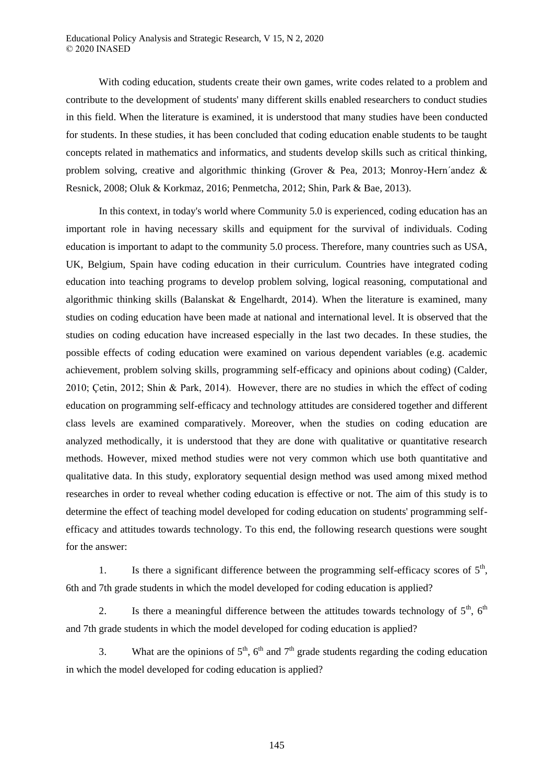With coding education, students create their own games, write codes related to a problem and contribute to the development of students' many different skills enabled researchers to conduct studies in this field. When the literature is examined, it is understood that many studies have been conducted for students. In these studies, it has been concluded that coding education enable students to be taught concepts related in mathematics and informatics, and students develop skills such as critical thinking, problem solving, creative and algorithmic thinking (Grover & Pea, 2013; Monroy-Hern´andez & Resnick, 2008; Oluk & Korkmaz, 2016; Penmetcha, 2012; Shin, Park & Bae, 2013).

In this context, in today's world where Community 5.0 is experienced, coding education has an important role in having necessary skills and equipment for the survival of individuals. Coding education is important to adapt to the community 5.0 process. Therefore, many countries such as USA, UK, Belgium, Spain have coding education in their curriculum. Countries have integrated coding education into teaching programs to develop problem solving, logical reasoning, computational and algorithmic thinking skills (Balanskat & Engelhardt, 2014). When the literature is examined, many studies on coding education have been made at national and international level. It is observed that the studies on coding education have increased especially in the last two decades. In these studies, the possible effects of coding education were examined on various dependent variables (e.g. academic achievement, problem solving skills, programming self-efficacy and opinions about coding) (Calder, 2010; Çetin, 2012; Shin & Park, 2014). However, there are no studies in which the effect of coding education on programming self-efficacy and technology attitudes are considered together and different class levels are examined comparatively. Moreover, when the studies on coding education are analyzed methodically, it is understood that they are done with qualitative or quantitative research methods. However, mixed method studies were not very common which use both quantitative and qualitative data. In this study, exploratory sequential design method was used among mixed method researches in order to reveal whether coding education is effective or not. The aim of this study is to determine the effect of teaching model developed for coding education on students' programming selfefficacy and attitudes towards technology. To this end, the following research questions were sought for the answer:

1. Is there a significant difference between the programming self-efficacy scores of  $5<sup>th</sup>$ , 6th and 7th grade students in which the model developed for coding education is applied?

2. Is there a meaningful difference between the attitudes towards technology of  $5<sup>th</sup>$ ,  $6<sup>th</sup>$ and 7th grade students in which the model developed for coding education is applied?

3. What are the opinions of  $5<sup>th</sup>$ ,  $6<sup>th</sup>$  and  $7<sup>th</sup>$  grade students regarding the coding education in which the model developed for coding education is applied?

145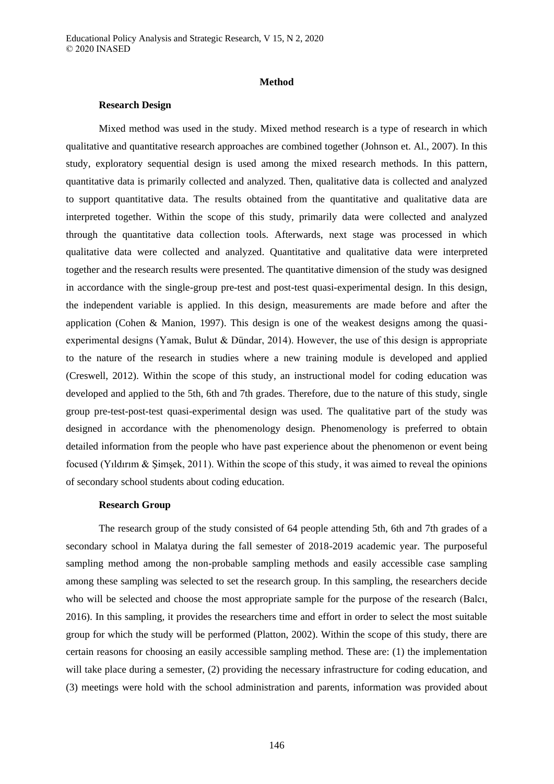#### **Method**

#### **Research Design**

Mixed method was used in the study. Mixed method research is a type of research in which qualitative and quantitative research approaches are combined together (Johnson et. Al., 2007). In this study, exploratory sequential design is used among the mixed research methods. In this pattern, quantitative data is primarily collected and analyzed. Then, qualitative data is collected and analyzed to support quantitative data. The results obtained from the quantitative and qualitative data are interpreted together. Within the scope of this study, primarily data were collected and analyzed through the quantitative data collection tools. Afterwards, next stage was processed in which qualitative data were collected and analyzed. Quantitative and qualitative data were interpreted together and the research results were presented. The quantitative dimension of the study was designed in accordance with the single-group pre-test and post-test quasi-experimental design. In this design, the independent variable is applied. In this design, measurements are made before and after the application (Cohen & Manion, 1997). This design is one of the weakest designs among the quasiexperimental designs (Yamak, Bulut & Dündar, 2014). However, the use of this design is appropriate to the nature of the research in studies where a new training module is developed and applied (Creswell, 2012). Within the scope of this study, an instructional model for coding education was developed and applied to the 5th, 6th and 7th grades. Therefore, due to the nature of this study, single group pre-test-post-test quasi-experimental design was used. The qualitative part of the study was designed in accordance with the phenomenology design. Phenomenology is preferred to obtain detailed information from the people who have past experience about the phenomenon or event being focused (Yıldırım & Şimşek, 2011). Within the scope of this study, it was aimed to reveal the opinions of secondary school students about coding education.

#### **Research Group**

The research group of the study consisted of 64 people attending 5th, 6th and 7th grades of a secondary school in Malatya during the fall semester of 2018-2019 academic year. The purposeful sampling method among the non-probable sampling methods and easily accessible case sampling among these sampling was selected to set the research group. In this sampling, the researchers decide who will be selected and choose the most appropriate sample for the purpose of the research (Balcı, 2016). In this sampling, it provides the researchers time and effort in order to select the most suitable group for which the study will be performed (Platton, 2002). Within the scope of this study, there are certain reasons for choosing an easily accessible sampling method. These are: (1) the implementation will take place during a semester, (2) providing the necessary infrastructure for coding education, and (3) meetings were hold with the school administration and parents, information was provided about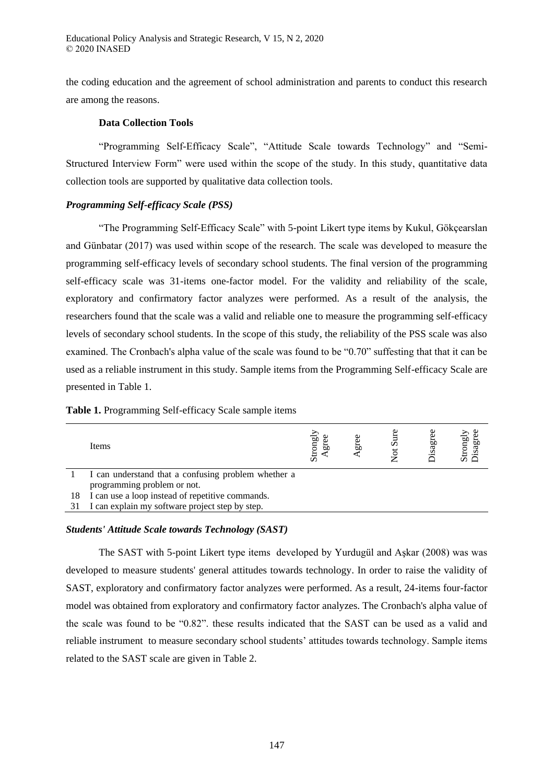the coding education and the agreement of school administration and parents to conduct this research are among the reasons.

### **Data Collection Tools**

"Programming Self-Efficacy Scale", "Attitude Scale towards Technology" and "Semi-Structured Interview Form" were used within the scope of the study. In this study, quantitative data collection tools are supported by qualitative data collection tools.

# *Programming Self-efficacy Scale (PSS)*

"The Programming Self-Efficacy Scale" with 5-point Likert type items by Kukul, Gökçearslan and Günbatar (2017) was used within scope of the research. The scale was developed to measure the programming self-efficacy levels of secondary school students. The final version of the programming self-efficacy scale was 31-items one-factor model. For the validity and reliability of the scale, exploratory and confirmatory factor analyzes were performed. As a result of the analysis, the researchers found that the scale was a valid and reliable one to measure the programming self-efficacy levels of secondary school students. In the scope of this study, the reliability of the PSS scale was also examined. The Cronbach's alpha value of the scale was found to be "0.70" suffesting that that it can be used as a reliable instrument in this study. Sample items from the Programming Self-efficacy Scale are presented in Table 1.

| Table 1. Programming Self-efficacy Scale sample items |
|-------------------------------------------------------|
|-------------------------------------------------------|

|    | Items                                               | Strongly<br>gе | gre | $\mathbf{S}$ ur<br>ಕ | sagr | Strongly<br>Disagree |
|----|-----------------------------------------------------|----------------|-----|----------------------|------|----------------------|
|    | I can understand that a confusing problem whether a |                |     |                      |      |                      |
|    | programming problem or not.                         |                |     |                      |      |                      |
| 18 | I can use a loop instead of repetitive commands.    |                |     |                      |      |                      |
|    | I can explain my software project step by step.     |                |     |                      |      |                      |

#### *Students' Attitude Scale towards Technology (SAST)*

The SAST with 5-point Likert type items developed by Yurdugül and Aşkar (2008) was was developed to measure students' general attitudes towards technology. In order to raise the validity of SAST, exploratory and confirmatory factor analyzes were performed. As a result, 24-items four-factor model was obtained from exploratory and confirmatory factor analyzes. The Cronbach's alpha value of the scale was found to be "0.82". these results indicated that the SAST can be used as a valid and reliable instrument to measure secondary school students' attitudes towards technology. Sample items related to the SAST scale are given in Table 2.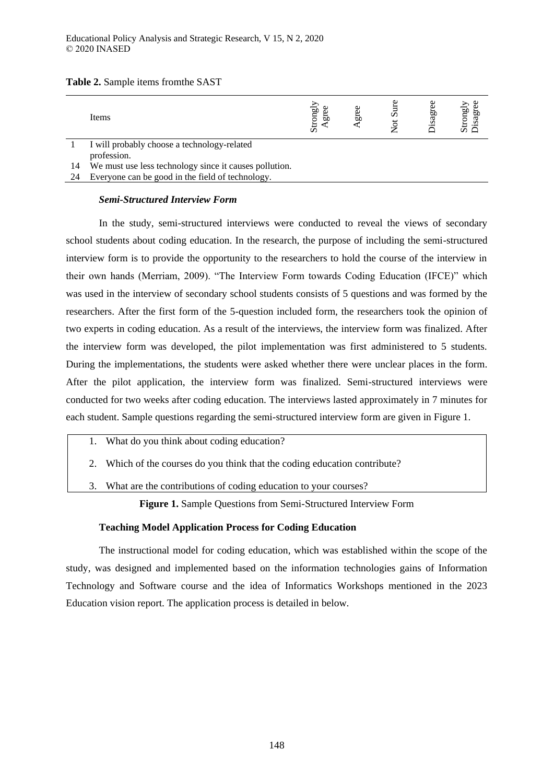| Table 2. Sample items from the SAST |  |
|-------------------------------------|--|
|-------------------------------------|--|

| Items                                                  | ಕೂ<br>Eon<br>ದ<br>↩<br>ÖΩ | ьΩ | ς | ы<br>$\cdot$ $-$ | ದಂ<br>ы |
|--------------------------------------------------------|---------------------------|----|---|------------------|---------|
| I will probably choose a technology-related            |                           |    |   |                  |         |
| profession.                                            |                           |    |   |                  |         |
| 14 We must use loss tookpelear since it couses nothing |                           |    |   |                  |         |

We must use less technology since it causes pollution.

24 Everyone can be good in the field of technology.

### *Semi-Structured Interview Form*

In the study, semi-structured interviews were conducted to reveal the views of secondary school students about coding education. In the research, the purpose of including the semi-structured interview form is to provide the opportunity to the researchers to hold the course of the interview in their own hands (Merriam, 2009). "The Interview Form towards Coding Education (IFCE)" which was used in the interview of secondary school students consists of 5 questions and was formed by the researchers. After the first form of the 5-question included form, the researchers took the opinion of two experts in coding education. As a result of the interviews, the interview form was finalized. After the interview form was developed, the pilot implementation was first administered to 5 students. During the implementations, the students were asked whether there were unclear places in the form. After the pilot application, the interview form was finalized. Semi-structured interviews were conducted for two weeks after coding education. The interviews lasted approximately in 7 minutes for each student. Sample questions regarding the semi-structured interview form are given in Figure 1.

- 1. What do you think about coding education?
- 2. Which of the courses do you think that the coding education contribute?
- 3. What are the contributions of coding education to your courses?

**Figure 1.** Sample Questions from Semi-Structured Interview Form

# **Teaching Model Application Process for Coding Education**

The instructional model for coding education, which was established within the scope of the study, was designed and implemented based on the information technologies gains of Information Technology and Software course and the idea of Informatics Workshops mentioned in the 2023 Education vision report. The application process is detailed in below.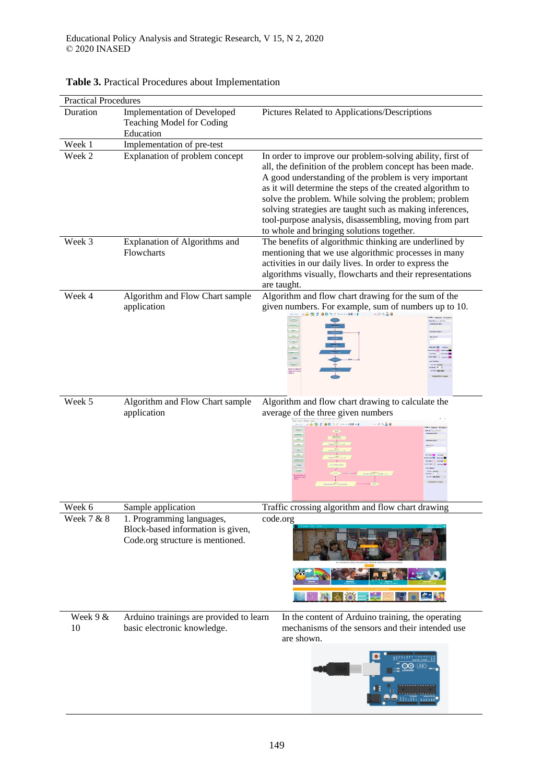| <b>Practical Procedures</b> |                                                                                                    |                                                                                                                                                                                                                                                                                                                                                                                                                                                                           |  |  |  |
|-----------------------------|----------------------------------------------------------------------------------------------------|---------------------------------------------------------------------------------------------------------------------------------------------------------------------------------------------------------------------------------------------------------------------------------------------------------------------------------------------------------------------------------------------------------------------------------------------------------------------------|--|--|--|
| Duration                    | <b>Implementation of Developed</b><br>Teaching Model for Coding<br>Education                       | Pictures Related to Applications/Descriptions                                                                                                                                                                                                                                                                                                                                                                                                                             |  |  |  |
| Week 1                      | Implementation of pre-test                                                                         |                                                                                                                                                                                                                                                                                                                                                                                                                                                                           |  |  |  |
| Week 2                      | Explanation of problem concept                                                                     | In order to improve our problem-solving ability, first of<br>all, the definition of the problem concept has been made.<br>A good understanding of the problem is very important<br>as it will determine the steps of the created algorithm to<br>solve the problem. While solving the problem; problem<br>solving strategies are taught such as making inferences,<br>tool-purpose analysis, disassembling, moving from part<br>to whole and bringing solutions together. |  |  |  |
| Week 3                      | Explanation of Algorithms and<br>Flowcharts                                                        | The benefits of algorithmic thinking are underlined by<br>mentioning that we use algorithmic processes in many<br>activities in our daily lives. In order to express the<br>algorithms visually, flowcharts and their representations<br>are taught.                                                                                                                                                                                                                      |  |  |  |
| Week 4                      | Algorithm and Flow Chart sample<br>application                                                     | Algorithm and flow chart drawing for the sum of the<br>given numbers. For example, sum of numbers up to 10.                                                                                                                                                                                                                                                                                                                                                               |  |  |  |
| Week 5                      | Algorithm and Flow Chart sample<br>application                                                     | Algorithm and flow chart drawing to calculate the<br>average of the three given numbers<br>o o<br><b>SIZE ALL ANK AT</b><br>owebni (Box<br>ujin ALT Tu                                                                                                                                                                                                                                                                                                                    |  |  |  |
| Week 6                      | Sample application                                                                                 | Traffic crossing algorithm and flow chart drawing                                                                                                                                                                                                                                                                                                                                                                                                                         |  |  |  |
| Week 7 & 8                  | 1. Programming languages,<br>Block-based information is given,<br>Code.org structure is mentioned. | code.org                                                                                                                                                                                                                                                                                                                                                                                                                                                                  |  |  |  |
| Week 9 &<br>10              | Arduino trainings are provided to learn<br>basic electronic knowledge.                             | In the content of Arduino training, the operating<br>mechanisms of the sensors and their intended use<br>are shown.                                                                                                                                                                                                                                                                                                                                                       |  |  |  |

# **Table 3.** Practical Procedures about Implementation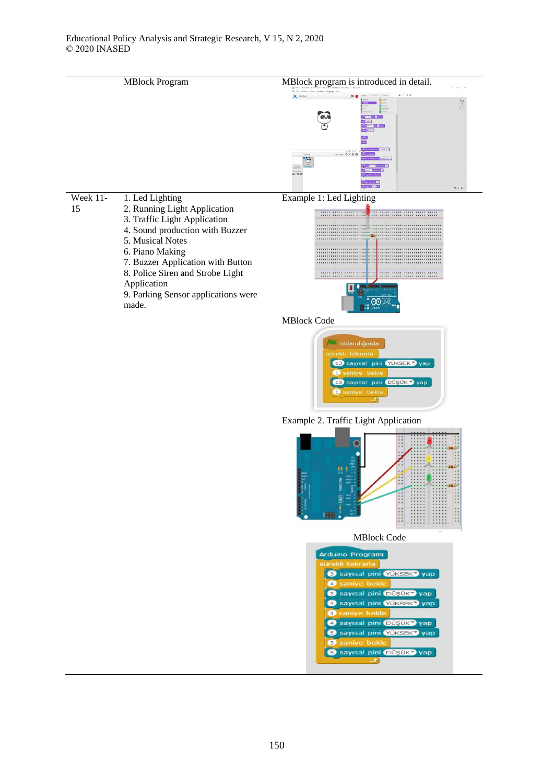









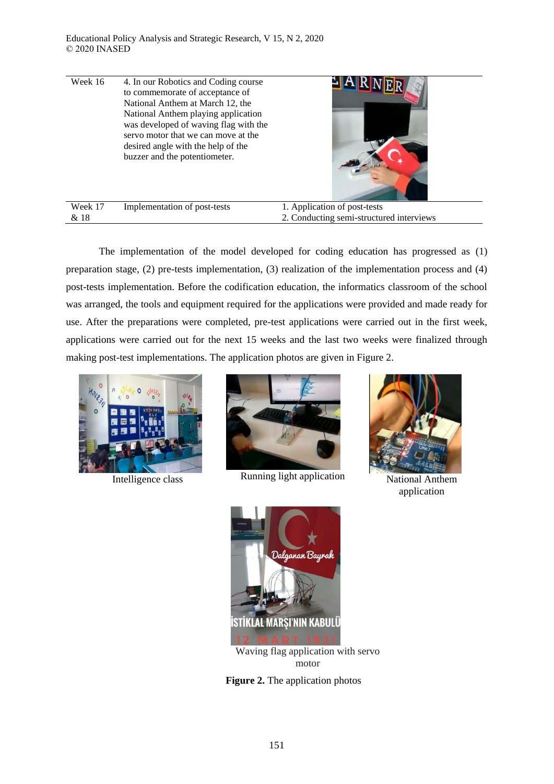| Week 16         | 4. In our Robotics and Coding course<br>to commemorate of acceptance of<br>National Anthem at March 12, the<br>National Anthem playing application<br>was developed of waving flag with the<br>servo motor that we can move at the<br>desired angle with the help of the<br>buzzer and the potentiometer. |                                                                          |
|-----------------|-----------------------------------------------------------------------------------------------------------------------------------------------------------------------------------------------------------------------------------------------------------------------------------------------------------|--------------------------------------------------------------------------|
| Week 17<br>& 18 | Implementation of post-tests                                                                                                                                                                                                                                                                              | 1. Application of post-tests<br>2. Conducting semi-structured interviews |

The implementation of the model developed for coding education has progressed as (1) preparation stage, (2) pre-tests implementation, (3) realization of the implementation process and (4) post-tests implementation. Before the codification education, the informatics classroom of the school was arranged, the tools and equipment required for the applications were provided and made ready for use. After the preparations were completed, pre-test applications were carried out in the first week, applications were carried out for the next 15 weeks and the last two weeks were finalized through making post-test implementations. The application photos are given in Figure 2.





Intelligence class Running light application National Anthem



application



Waving flag application with servo motor

**Figure 2.** The application photos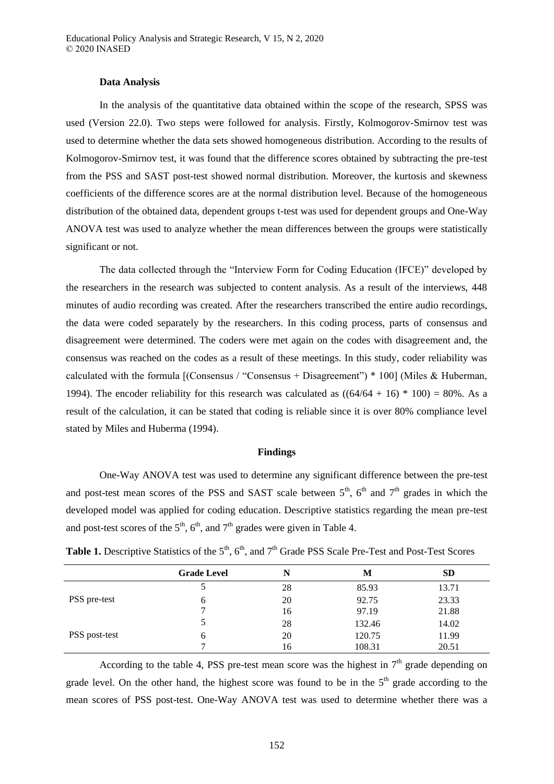#### **Data Analysis**

In the analysis of the quantitative data obtained within the scope of the research, SPSS was used (Version 22.0). Two steps were followed for analysis. Firstly, Kolmogorov-Smirnov test was used to determine whether the data sets showed homogeneous distribution. According to the results of Kolmogorov-Smirnov test, it was found that the difference scores obtained by subtracting the pre-test from the PSS and SAST post-test showed normal distribution. Moreover, the kurtosis and skewness coefficients of the difference scores are at the normal distribution level. Because of the homogeneous distribution of the obtained data, dependent groups t-test was used for dependent groups and One-Way ANOVA test was used to analyze whether the mean differences between the groups were statistically significant or not.

The data collected through the "Interview Form for Coding Education (IFCE)" developed by the researchers in the research was subjected to content analysis. As a result of the interviews, 448 minutes of audio recording was created. After the researchers transcribed the entire audio recordings, the data were coded separately by the researchers. In this coding process, parts of consensus and disagreement were determined. The coders were met again on the codes with disagreement and, the consensus was reached on the codes as a result of these meetings. In this study, coder reliability was calculated with the formula  $\Gamma$  [Consensus / "Consensus + Disagreement") \* 100 [Miles & Huberman, 1994). The encoder reliability for this research was calculated as  $((64/64 + 16) * 100) = 80\%$ . As a result of the calculation, it can be stated that coding is reliable since it is over 80% compliance level stated by Miles and Huberma (1994).

#### **Findings**

One-Way ANOVA test was used to determine any significant difference between the pre-test and post-test mean scores of the PSS and SAST scale between  $5<sup>th</sup>$ ,  $6<sup>th</sup>$  and  $7<sup>th</sup>$  grades in which the developed model was applied for coding education. Descriptive statistics regarding the mean pre-test and post-test scores of the  $5<sup>th</sup>$ ,  $6<sup>th</sup>$ , and  $7<sup>th</sup>$  grades were given in Table 4.

|               | <b>Grade Level</b> | N  | M      | <b>SD</b> |
|---------------|--------------------|----|--------|-----------|
|               |                    | 28 | 85.93  | 13.71     |
| PSS pre-test  | 6                  | 20 | 92.75  | 23.33     |
|               |                    | 16 | 97.19  | 21.88     |
|               |                    | 28 | 132.46 | 14.02     |
| PSS post-test | 6                  | 20 | 120.75 | 11.99     |
|               |                    | 16 | 108.31 | 20.51     |

**Table 1.** Descriptive Statistics of the  $5<sup>th</sup>$ ,  $6<sup>th</sup>$ , and  $7<sup>th</sup>$  Grade PSS Scale Pre-Test and Post-Test Scores

According to the table 4, PSS pre-test mean score was the highest in  $7<sup>th</sup>$  grade depending on grade level. On the other hand, the highest score was found to be in the  $5<sup>th</sup>$  grade according to the mean scores of PSS post-test. One-Way ANOVA test was used to determine whether there was a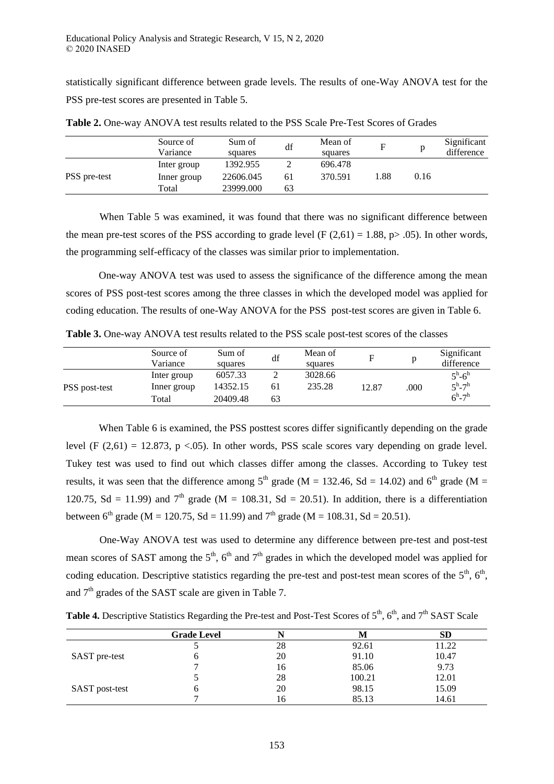statistically significant difference between grade levels. The results of one-Way ANOVA test for the PSS pre-test scores are presented in Table 5.

|              | Source of<br>Variance | Sum of<br>squares | df | Mean of<br>squares | F    |      | Significant<br>difference |
|--------------|-----------------------|-------------------|----|--------------------|------|------|---------------------------|
|              | Inter group           | 1392.955          |    | 696.478            |      |      |                           |
| PSS pre-test | Inner group           | 22606.045         | 61 | 370.591            | '.88 | 0.16 |                           |
|              | Total                 | 23999.000         | 63 |                    |      |      |                           |

**Table 2.** One-way ANOVA test results related to the PSS Scale Pre-Test Scores of Grades

When Table 5 was examined, it was found that there was no significant difference between the mean pre-test scores of the PSS according to grade level (F  $(2,61) = 1.88$ , p> .05). In other words, the programming self-efficacy of the classes was similar prior to implementation.

One-way ANOVA test was used to assess the significance of the difference among the mean scores of PSS post-test scores among the three classes in which the developed model was applied for coding education. The results of one-Way ANOVA for the PSS post-test scores are given in Table 6.

**Table 3.** One-way ANOVA test results related to the PSS scale post-test scores of the classes

|               | Source of<br>Variance | Sum of<br>squares | df | Mean of<br>squares | F     |      | Significant<br>difference   |
|---------------|-----------------------|-------------------|----|--------------------|-------|------|-----------------------------|
|               | Inter group           | 6057.33           | ∸  | 3028.66            |       |      | $5^{\rm h}$ -6 <sup>h</sup> |
| PSS post-test | Inner group           | 14352.15          | 61 | 235.28             | 12.87 | .000 | $5^{\rm h}$ -7 <sup>h</sup> |
|               | Total                 | 20409.48          | 63 |                    |       |      | $6^h - 7^h$                 |

When Table 6 is examined, the PSS posttest scores differ significantly depending on the grade level (F  $(2,61) = 12.873$ , p <.05). In other words, PSS scale scores vary depending on grade level. Tukey test was used to find out which classes differ among the classes. According to Tukey test results, it was seen that the difference among  $5<sup>th</sup>$  grade (M = 132.46, Sd = 14.02) and  $6<sup>th</sup>$  grade (M = 120.75, Sd = 11.99) and  $7<sup>th</sup>$  grade (M = 108.31, Sd = 20.51). In addition, there is a differentiation between 6<sup>th</sup> grade (M = 120.75, Sd = 11.99) and 7<sup>th</sup> grade (M = 108.31, Sd = 20.51).

One-Way ANOVA test was used to determine any difference between pre-test and post-test mean scores of SAST among the  $5<sup>th</sup>$ ,  $6<sup>th</sup>$  and  $7<sup>th</sup>$  grades in which the developed model was applied for coding education. Descriptive statistics regarding the pre-test and post-test mean scores of the  $5<sup>th</sup>$ ,  $6<sup>th</sup>$ , and  $7<sup>th</sup>$  grades of the SAST scale are given in Table 7.

**Table 4.** Descriptive Statistics Regarding the Pre-test and Post-Test Scores of 5<sup>th</sup>, 6<sup>th</sup>, and 7<sup>th</sup> SAST Scale

|                       | <b>Grade Level</b> |    | M      | SD    |
|-----------------------|--------------------|----|--------|-------|
|                       |                    | 28 | 92.61  | 11.22 |
| SAST pre-test         |                    | 20 | 91.10  | 10.47 |
|                       |                    | 16 | 85.06  | 9.73  |
|                       |                    | 28 | 100.21 | 12.01 |
| <b>SAST</b> post-test |                    | 20 | 98.15  | 15.09 |
|                       |                    | 16 | 85.13  | 14.61 |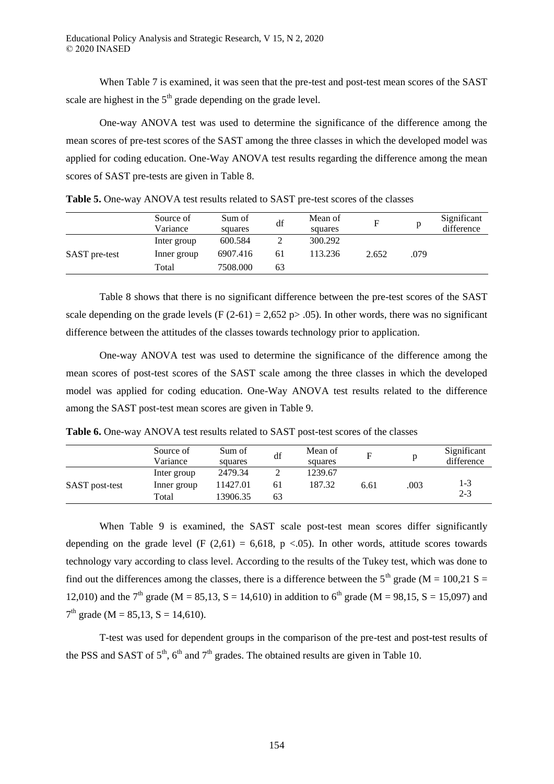When Table 7 is examined, it was seen that the pre-test and post-test mean scores of the SAST scale are highest in the  $5<sup>th</sup>$  grade depending on the grade level.

One-way ANOVA test was used to determine the significance of the difference among the mean scores of pre-test scores of the SAST among the three classes in which the developed model was applied for coding education. One-Way ANOVA test results regarding the difference among the mean scores of SAST pre-tests are given in Table 8.

|               | Source of<br>Variance | Sum of<br>squares | df | Mean of<br>squares |       |      | Significant<br>difference |
|---------------|-----------------------|-------------------|----|--------------------|-------|------|---------------------------|
| SAST pre-test | Inter group           | 600.584           |    | 300.292            |       |      |                           |
|               | Inner group           | 6907.416          | 61 | 113.236            | 2.652 | .079 |                           |
|               | Total                 | 7508.000          | 63 |                    |       |      |                           |

**Table 5.** One-way ANOVA test results related to SAST pre-test scores of the classes

Table 8 shows that there is no significant difference between the pre-test scores of the SAST scale depending on the grade levels (F  $(2-61) = 2,652$  p $> 0.05$ ). In other words, there was no significant difference between the attitudes of the classes towards technology prior to application.

One-way ANOVA test was used to determine the significance of the difference among the mean scores of post-test scores of the SAST scale among the three classes in which the developed model was applied for coding education. One-Way ANOVA test results related to the difference among the SAST post-test mean scores are given in Table 9.

**Table 6.** One-way ANOVA test results related to SAST post-test scores of the classes

|                | Source of<br>Variance | Sum of<br>squares | df | Mean of<br>squares | F    |      | Significant<br>difference |
|----------------|-----------------------|-------------------|----|--------------------|------|------|---------------------------|
|                | Inter group           | 2479.34           |    | 1239.67            |      |      |                           |
| SAST post-test | Inner group           | 11427.01          | 61 | 187.32             | 6.61 | .003 | 1-3                       |
|                | Total                 | 13906.35          | 63 |                    |      |      | $2 - 3$                   |

When Table 9 is examined, the SAST scale post-test mean scores differ significantly depending on the grade level (F  $(2,61) = 6,618$ , p <.05). In other words, attitude scores towards technology vary according to class level. According to the results of the Tukey test, which was done to find out the differences among the classes, there is a difference between the 5<sup>th</sup> grade (M = 100.21 S = 12,010) and the 7<sup>th</sup> grade (M = 85,13, S = 14,610) in addition to 6<sup>th</sup> grade (M = 98,15, S = 15,097) and  $7<sup>th</sup>$  grade (M = 85,13, S = 14,610).

T-test was used for dependent groups in the comparison of the pre-test and post-test results of the PSS and SAST of  $5<sup>th</sup>$ ,  $6<sup>th</sup>$  and  $7<sup>th</sup>$  grades. The obtained results are given in Table 10.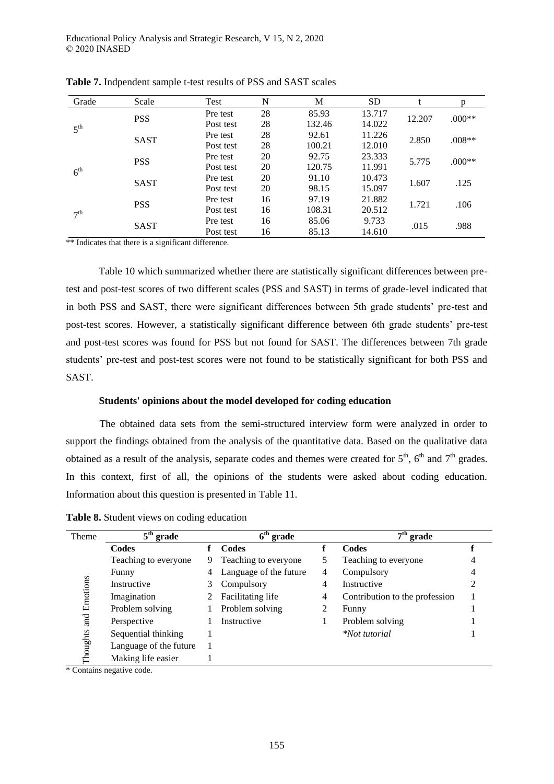| Grade           | Scale       | Test                                              | N     | M      | <b>SD</b> |        | p        |
|-----------------|-------------|---------------------------------------------------|-------|--------|-----------|--------|----------|
|                 |             | Pre test                                          | 28    | 85.93  | 13.717    |        | $.000**$ |
| $5^{\text{th}}$ | <b>PSS</b>  | Post test                                         | 28    | 132.46 | 14.022    | 12.207 |          |
|                 |             | Pre test                                          | 28    | 92.61  | 11.226    |        | $.008**$ |
|                 | <b>SAST</b> | Post test                                         | 28    | 100.21 | 12.010    | 2.850  |          |
| $6^{\text{th}}$ | <b>PSS</b>  | Pre test                                          | 20    | 92.75  | 23.333    |        | $.000**$ |
|                 |             | Post test                                         | 20    | 120.75 | 11.991    | 5.775  |          |
|                 |             | Pre test                                          | 20    | 91.10  | 10.473    |        |          |
|                 |             | <b>SAST</b><br>20<br>15.097<br>98.15<br>Post test | 1.607 | .125   |           |        |          |
| 7 <sup>th</sup> | <b>PSS</b>  | Pre test                                          | 16    | 97.19  | 21.882    | 1.721  | .106     |
|                 |             | Post test                                         | 16    | 108.31 | 20.512    |        |          |
|                 |             | Pre test                                          | 16    | 85.06  | 9.733     |        |          |
|                 | <b>SAST</b> | Post test                                         | 16    | 85.13  | 14.610    | .015   | .988     |

**Table 7.** Indpendent sample t-test results of PSS and SAST scales

\*\* Indicates that there is a significant difference.

Table 10 which summarized whether there are statistically significant differences between pretest and post-test scores of two different scales (PSS and SAST) in terms of grade-level indicated that in both PSS and SAST, there were significant differences between 5th grade students' pre-test and post-test scores. However, a statistically significant difference between 6th grade students' pre-test and post-test scores was found for PSS but not found for SAST. The differences between 7th grade students' pre-test and post-test scores were not found to be statistically significant for both PSS and SAST.

#### **Students' opinions about the model developed for coding education**

The obtained data sets from the semi-structured interview form were analyzed in order to support the findings obtained from the analysis of the quantitative data. Based on the qualitative data obtained as a result of the analysis, separate codes and themes were created for  $5<sup>th</sup>$ ,  $6<sup>th</sup>$  and  $7<sup>th</sup>$  grades. In this context, first of all, the opinions of the students were asked about coding education. Information about this question is presented in Table 11.

**Table 8.** Student views on coding education

| Theme       | $\overline{5}^{\text{th}}$ grade | $6th$ grade |                        |   | grade                          |  |  |
|-------------|----------------------------------|-------------|------------------------|---|--------------------------------|--|--|
|             | Codes                            |             | Codes                  |   | Codes                          |  |  |
|             | Teaching to everyone             | 9           | Teaching to everyone   | 5 | Teaching to everyone           |  |  |
|             | Funny                            | 4           | Language of the future | 4 | Compulsory                     |  |  |
| Emotions    | Instructive                      | 3           | Compulsory             | 4 | Instructive                    |  |  |
|             | Imagination                      |             | Facilitating life      | 4 | Contribution to the profession |  |  |
|             | Problem solving                  |             | Problem solving        |   | Funny                          |  |  |
| <b>Tang</b> | Perspective                      |             | Instructive            |   | Problem solving                |  |  |
|             | Sequential thinking              |             |                        |   | <i>*Not tutorial</i>           |  |  |
| houghts     | Language of the future           |             |                        |   |                                |  |  |
|             | Making life easier               |             |                        |   |                                |  |  |

\* Contains negative code.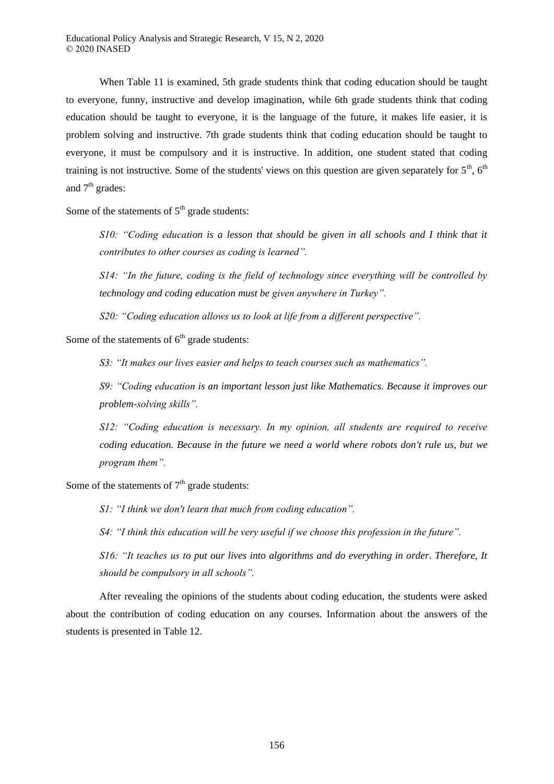When Table 11 is examined, 5th grade students think that coding education should be taught to everyone, funny, instructive and develop imagination, while 6th grade students think that coding education should be taught to everyone, it is the language of the future, it makes life easier, it is problem solving and instructive. 7th grade students think that coding education should be taught to everyone, it must be compulsory and it is instructive. In addition, one student stated that coding training is not instructive. Some of the students' views on this question are given separately for  $5<sup>th</sup>$ ,  $6<sup>th</sup>$ and  $7<sup>th</sup>$  grades:

Some of the statements of  $5<sup>th</sup>$  grade students:

*S10 "Coding education is a lesson that should be given in all schools and I think that it contributes to other courses as coding is learned"* 

*S14: "In the future, coding is the field of technology since everything will be controlled by technology and coding education must be given anywhere in Turkey"*.

*S20: "Coding education allows us to look at life from a different perspective".* 

Some of the statements of  $6<sup>th</sup>$  grade students:

*S3 "It makes our lives easier and helps to teach courses such as mathematics"* 

*S9 "Coding education is an important lesson just like Mathematics. Because it improves our problem-solving skills"* 

*S12: "Coding education is necessary. In my opinion, all students are required to receive coding education. Because in the future we need a world where robots don't rule us, but we program them"*.

Some of the statements of  $7<sup>th</sup>$  grade students:

*S1*: "I think we don't learn that much from coding education".

*S4: "I think this education will be very useful if we choose this profession in the future".* 

*S16 "It teaches us to put our lives into algorithms and do everything in order. Therefore, It should be compulsory in all schools"* 

After revealing the opinions of the students about coding education, the students were asked about the contribution of coding education on any courses. Information about the answers of the students is presented in Table 12.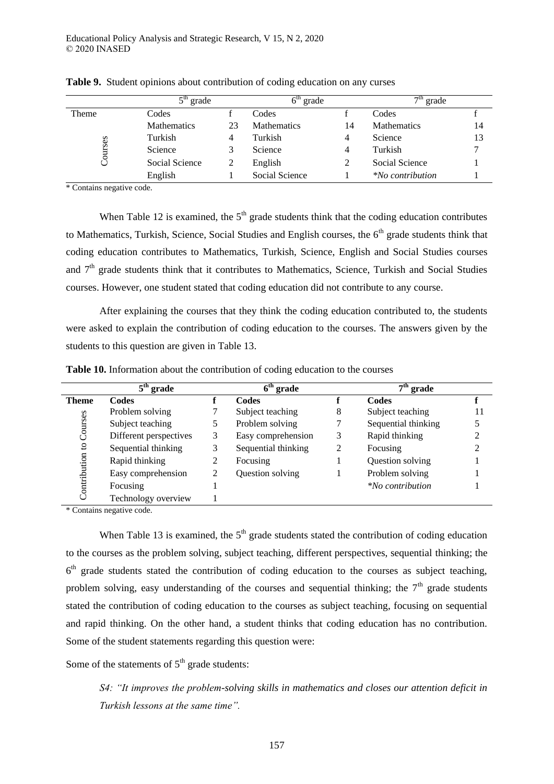|         | $5th$ grade        |    | 6 <sup>tn</sup><br>grade |    | $7th$ grade             |    |
|---------|--------------------|----|--------------------------|----|-------------------------|----|
| Theme   | Codes              |    | Codes                    |    | Codes                   |    |
|         | <b>Mathematics</b> | 23 | <b>Mathematics</b>       | 14 | <b>Mathematics</b>      | 14 |
|         | Turkish            | 4  | Turkish                  |    | Science                 | 13 |
| Courses | Science            |    | Science                  |    | Turkish                 |    |
|         | Social Science     |    | English                  |    | Social Science          |    |
|         | English            |    | Social Science           |    | <i>*No contribution</i> |    |

**Table 9.** Student opinions about contribution of coding education on any curses

\* Contains negative code.

When Table 12 is examined, the  $5<sup>th</sup>$  grade students think that the coding education contributes to Mathematics, Turkish, Science, Social Studies and English courses, the  $6<sup>th</sup>$  grade students think that coding education contributes to Mathematics, Turkish, Science, English and Social Studies courses and  $7<sup>th</sup>$  grade students think that it contributes to Mathematics, Science, Turkish and Social Studies courses. However, one student stated that coding education did not contribute to any course.

After explaining the courses that they think the coding education contributed to, the students were asked to explain the contribution of coding education to the courses. The answers given by the students to this question are given in Table 13.

|              | $5th$ grade            |                | $6th$ grade         |   | $7th$ grade             |    |
|--------------|------------------------|----------------|---------------------|---|-------------------------|----|
| <b>Theme</b> | <b>Codes</b>           |                | <b>Codes</b>        |   | Codes                   |    |
|              | Problem solving        |                | Subject teaching    | 8 | Subject teaching        | 11 |
| Courses      | Subject teaching       | 5              | Problem solving     |   | Sequential thinking     |    |
|              | Different perspectives | 3              | Easy comprehension  | 3 | Rapid thinking          |    |
| $\mathbf{S}$ | Sequential thinking    | 3              | Sequential thinking | 2 | Focusing                |    |
|              | Rapid thinking         | 2              | Focusing            |   | Question solving        |    |
|              | Easy comprehension     | $\overline{2}$ | Question solving    |   | Problem solving         |    |
| Contribution | Focusing               |                |                     |   | <i>*No contribution</i> |    |
|              | Technology overview    |                |                     |   |                         |    |

**Table 10.** Information about the contribution of coding education to the courses

\* Contains negative code.

When Table 13 is examined, the  $5<sup>th</sup>$  grade students stated the contribution of coding education to the courses as the problem solving, subject teaching, different perspectives, sequential thinking; the 6<sup>th</sup> grade students stated the contribution of coding education to the courses as subject teaching, problem solving, easy understanding of the courses and sequential thinking; the  $7<sup>th</sup>$  grade students stated the contribution of coding education to the courses as subject teaching, focusing on sequential and rapid thinking. On the other hand, a student thinks that coding education has no contribution. Some of the student statements regarding this question were:

Some of the statements of  $5<sup>th</sup>$  grade students:

*S4 "It improves the problem-solving skills in mathematics and closes our attention deficit in Turkish lessons at the same time"*.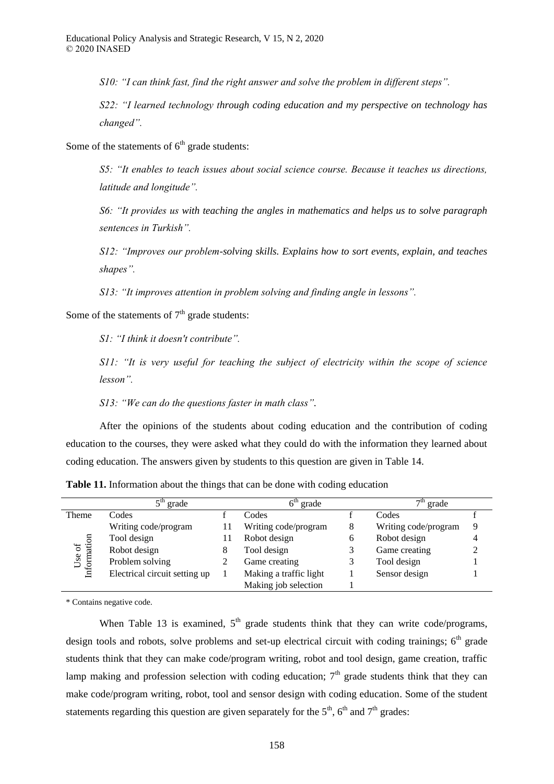*S10*: "I can think fast, find the right answer and solve the problem in different steps".

*S22 "I learned technology through coding education and my perspective on technology has changed"* 

Some of the statements of  $6<sup>th</sup>$  grade students:

*S5 "It enables to teach issues about social science course Because it teaches us directions, latitude and longitude"* 

*S6 "It provides us with teaching the angles in mathematics and helps us to solve paragraph*  sentences in Turkish".

*S12 "Improves our problem-solving skills. Explains how to sort events, explain, and teaches shapes"* 

*S13 "It improves attention in problem solving and inding angle in lessons"* 

Some of the statements of  $7<sup>th</sup>$  grade students:

*S1 "I think it doesn't contribute"* 

*S11: "It is very useful for teaching the subject of electricity within the scope of science* lesson".

*S13: "We can do the questions faster in math class".* 

After the opinions of the students about coding education and the contribution of coding education to the courses, they were asked what they could do with the information they learned about coding education. The answers given by students to this question are given in Table 14.

|                         | grade                         |    | $6th$ grade            |   | $7th$ grade          |   |
|-------------------------|-------------------------------|----|------------------------|---|----------------------|---|
| Theme                   | Codes                         |    | Codes                  |   | Codes                |   |
|                         | Writing code/program          | 11 | Writing code/program   | 8 | Writing code/program | 9 |
| Use of $\;$ Information | Tool design                   | Н  | Robot design           | 6 | Robot design         |   |
|                         | Robot design                  | 8  | Tool design            |   | Game creating        |   |
|                         | Problem solving               |    | Game creating          |   | Tool design          |   |
|                         | Electrical circuit setting up |    | Making a traffic light |   | Sensor design        |   |
|                         |                               |    | Making job selection   |   |                      |   |

**Table 11.** Information about the things that can be done with coding education

\* Contains negative code.

When Table 13 is examined,  $5<sup>th</sup>$  grade students think that they can write code/programs, design tools and robots, solve problems and set-up electrical circuit with coding trainings;  $6<sup>th</sup>$  grade students think that they can make code/program writing, robot and tool design, game creation, traffic lamp making and profession selection with coding education;  $7<sup>th</sup>$  grade students think that they can make code/program writing, robot, tool and sensor design with coding education. Some of the student statements regarding this question are given separately for the  $5<sup>th</sup>$ ,  $6<sup>th</sup>$  and  $7<sup>th</sup>$  grades: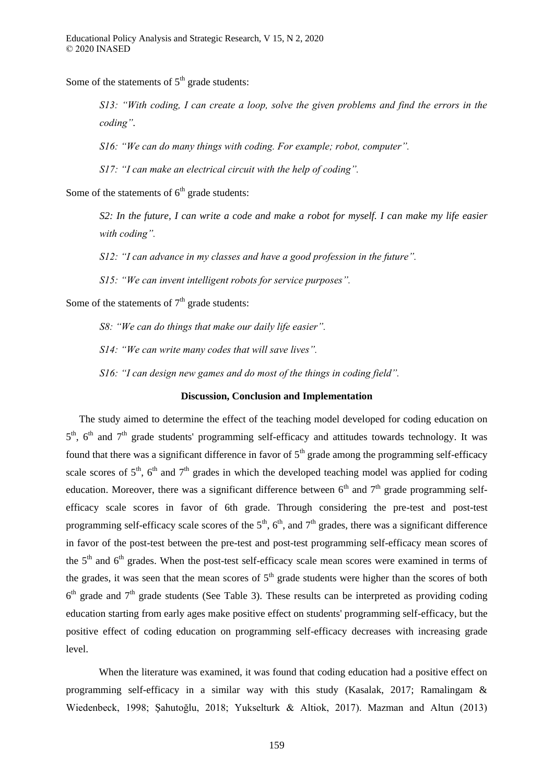Some of the statements of  $5<sup>th</sup>$  grade students:

*S13: "With coding, I can create a loop, solve the given problems and find the errors in the coding".*

*S16 "We can do many things with coding For example; robot, computer"* 

*S17: "I can make an electrical circuit with the help of coding"*.

Some of the statements of  $6<sup>th</sup>$  grade students:

*S2: In the future, I can write a code and make a robot for myself. I can make my life easier*  with coding".

*S12: "I can advance in my classes and have a good profession in the future".* 

*S15: "We can invent intelligent robots for service purposes".* 

Some of the statements of  $7<sup>th</sup>$  grade students:

*S8: "We can do things that make our daily life easier".* 

*S14 "We can write many codes that will save lives"* 

*S16: "I can design new games and do most of the things in coding field"*.

# **Discussion, Conclusion and Implementation**

The study aimed to determine the effect of the teaching model developed for coding education on  $5<sup>th</sup>$ ,  $6<sup>th</sup>$  and  $7<sup>th</sup>$  grade students' programming self-efficacy and attitudes towards technology. It was found that there was a significant difference in favor of  $5<sup>th</sup>$  grade among the programming self-efficacy scale scores of  $5<sup>th</sup>$ ,  $6<sup>th</sup>$  and  $7<sup>th</sup>$  grades in which the developed teaching model was applied for coding education. Moreover, there was a significant difference between  $6<sup>th</sup>$  and  $7<sup>th</sup>$  grade programming selfefficacy scale scores in favor of 6th grade. Through considering the pre-test and post-test programming self-efficacy scale scores of the  $5<sup>th</sup>$ ,  $6<sup>th</sup>$ , and  $7<sup>th</sup>$  grades, there was a significant difference in favor of the post-test between the pre-test and post-test programming self-efficacy mean scores of the  $5<sup>th</sup>$  and  $6<sup>th</sup>$  grades. When the post-test self-efficacy scale mean scores were examined in terms of the grades, it was seen that the mean scores of  $5<sup>th</sup>$  grade students were higher than the scores of both  $6<sup>th</sup>$  grade and  $7<sup>th</sup>$  grade students (See Table 3). These results can be interpreted as providing coding education starting from early ages make positive effect on students' programming self-efficacy, but the positive effect of coding education on programming self-efficacy decreases with increasing grade level.

When the literature was examined, it was found that coding education had a positive effect on programming self-efficacy in a similar way with this study (Kasalak, 2017; Ramalingam & Wiedenbeck, 1998; Şahutoğlu, 2018; Yukselturk & Altiok, 2017). Mazman and Altun (2013)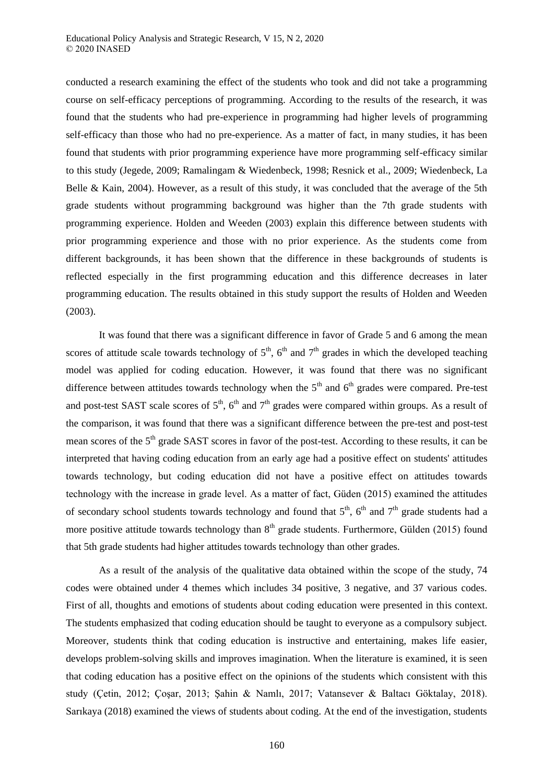conducted a research examining the effect of the students who took and did not take a programming course on self-efficacy perceptions of programming. According to the results of the research, it was found that the students who had pre-experience in programming had higher levels of programming self-efficacy than those who had no pre-experience. As a matter of fact, in many studies, it has been found that students with prior programming experience have more programming self-efficacy similar to this study (Jegede, 2009; Ramalingam & Wiedenbeck, 1998; Resnick et al., 2009; Wiedenbeck, La Belle & Kain, 2004). However, as a result of this study, it was concluded that the average of the 5th grade students without programming background was higher than the 7th grade students with programming experience. Holden and Weeden (2003) explain this difference between students with prior programming experience and those with no prior experience. As the students come from different backgrounds, it has been shown that the difference in these backgrounds of students is reflected especially in the first programming education and this difference decreases in later programming education. The results obtained in this study support the results of Holden and Weeden (2003).

It was found that there was a significant difference in favor of Grade 5 and 6 among the mean scores of attitude scale towards technology of  $5<sup>th</sup>$ ,  $6<sup>th</sup>$  and  $7<sup>th</sup>$  grades in which the developed teaching model was applied for coding education. However, it was found that there was no significant difference between attitudes towards technology when the  $5<sup>th</sup>$  and  $6<sup>th</sup>$  grades were compared. Pre-test and post-test SAST scale scores of  $5<sup>th</sup>$ ,  $6<sup>th</sup>$  and  $7<sup>th</sup>$  grades were compared within groups. As a result of the comparison, it was found that there was a significant difference between the pre-test and post-test mean scores of the 5<sup>th</sup> grade SAST scores in favor of the post-test. According to these results, it can be interpreted that having coding education from an early age had a positive effect on students' attitudes towards technology, but coding education did not have a positive effect on attitudes towards technology with the increase in grade level. As a matter of fact, Güden (2015) examined the attitudes of secondary school students towards technology and found that  $5<sup>th</sup>$ ,  $6<sup>th</sup>$  and  $7<sup>th</sup>$  grade students had a more positive attitude towards technology than  $8<sup>th</sup>$  grade students. Furthermore, Gülden (2015) found that 5th grade students had higher attitudes towards technology than other grades.

As a result of the analysis of the qualitative data obtained within the scope of the study, 74 codes were obtained under 4 themes which includes 34 positive, 3 negative, and 37 various codes. First of all, thoughts and emotions of students about coding education were presented in this context. The students emphasized that coding education should be taught to everyone as a compulsory subject. Moreover, students think that coding education is instructive and entertaining, makes life easier, develops problem-solving skills and improves imagination. When the literature is examined, it is seen that coding education has a positive effect on the opinions of the students which consistent with this study (Çetin, 2012; Çoşar, 2013; Şahin & Namlı, 2017; Vatansever & Baltacı Göktalay, 2018). Sarıkaya (2018) examined the views of students about coding. At the end of the investigation, students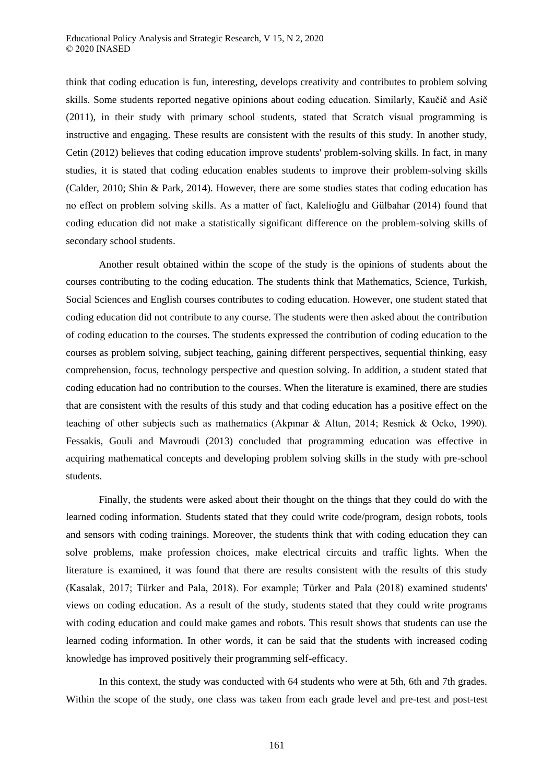think that coding education is fun, interesting, develops creativity and contributes to problem solving skills. Some students reported negative opinions about coding education. Similarly, Kaučič and Asič (2011), in their study with primary school students, stated that Scratch visual programming is instructive and engaging. These results are consistent with the results of this study. In another study, Cetin (2012) believes that coding education improve students' problem-solving skills. In fact, in many studies, it is stated that coding education enables students to improve their problem-solving skills (Calder, 2010; Shin & Park, 2014). However, there are some studies states that coding education has no effect on problem solving skills. As a matter of fact, Kalelioğlu and Gülbahar (2014) found that coding education did not make a statistically significant difference on the problem-solving skills of secondary school students.

Another result obtained within the scope of the study is the opinions of students about the courses contributing to the coding education. The students think that Mathematics, Science, Turkish, Social Sciences and English courses contributes to coding education. However, one student stated that coding education did not contribute to any course. The students were then asked about the contribution of coding education to the courses. The students expressed the contribution of coding education to the courses as problem solving, subject teaching, gaining different perspectives, sequential thinking, easy comprehension, focus, technology perspective and question solving. In addition, a student stated that coding education had no contribution to the courses. When the literature is examined, there are studies that are consistent with the results of this study and that coding education has a positive effect on the teaching of other subjects such as mathematics (Akpınar & Altun, 2014; Resnick & Ocko, 1990). Fessakis, Gouli and Mavroudi (2013) concluded that programming education was effective in acquiring mathematical concepts and developing problem solving skills in the study with pre-school students.

Finally, the students were asked about their thought on the things that they could do with the learned coding information. Students stated that they could write code/program, design robots, tools and sensors with coding trainings. Moreover, the students think that with coding education they can solve problems, make profession choices, make electrical circuits and traffic lights. When the literature is examined, it was found that there are results consistent with the results of this study (Kasalak, 2017; Türker and Pala, 2018). For example; Türker and Pala (2018) examined students' views on coding education. As a result of the study, students stated that they could write programs with coding education and could make games and robots. This result shows that students can use the learned coding information. In other words, it can be said that the students with increased coding knowledge has improved positively their programming self-efficacy.

In this context, the study was conducted with 64 students who were at 5th, 6th and 7th grades. Within the scope of the study, one class was taken from each grade level and pre-test and post-test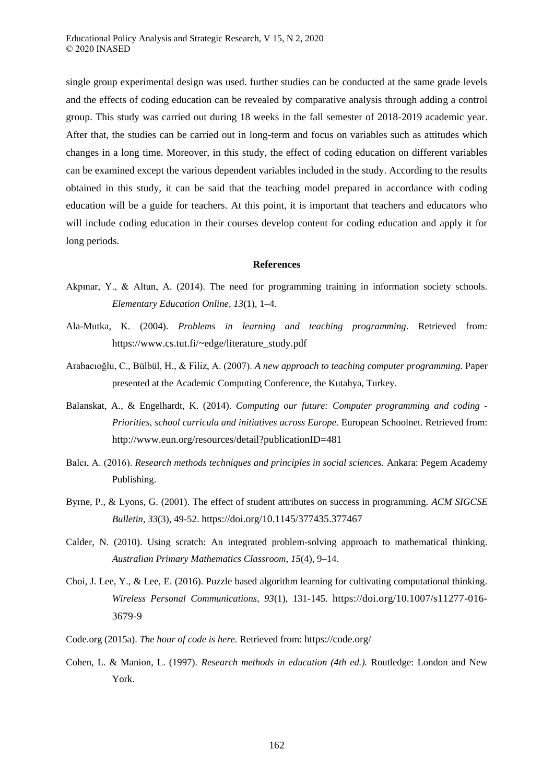single group experimental design was used. further studies can be conducted at the same grade levels and the effects of coding education can be revealed by comparative analysis through adding a control group. This study was carried out during 18 weeks in the fall semester of 2018-2019 academic year. After that, the studies can be carried out in long-term and focus on variables such as attitudes which changes in a long time. Moreover, in this study, the effect of coding education on different variables can be examined except the various dependent variables included in the study. According to the results obtained in this study, it can be said that the teaching model prepared in accordance with coding education will be a guide for teachers. At this point, it is important that teachers and educators who will include coding education in their courses develop content for coding education and apply it for long periods.

#### **References**

- Akpınar, Y., & Altun, A. (2014). The need for programming training in information society schools. *Elementary Education Online, 13*(1), 1–4.
- Ala-Mutka, K. (2004). *Problems in learning and teaching programming*. Retrieved from: https://www.cs.tut.fi/~edge/literature\_study.pdf
- Arabacıoğlu, C., Bülbül, H., & Filiz, A. (2007). *A new approach to teaching computer programming.* Paper presented at the Academic Computing Conference, the Kutahya, Turkey.
- Balanskat, A., & Engelhardt, K. (2014). *Computing our future: Computer programming and coding - Priorities, school curricula and initiatives across Europe.* European Schoolnet. Retrieved from: http://www.eun.org/resources/detail?publicationID=481
- Balcı, A. (2016). *Research methods techniques and principles in social sciences.* Ankara: Pegem Academy Publishing.
- Byrne, P., & Lyons, G. (2001). The effect of student attributes on success in programming. *ACM SIGCSE Bulletin, 33*(3), 49-52. https://doi.org/10.1145/377435.377467
- Calder, N. (2010). Using scratch: An integrated problem-solving approach to mathematical thinking. *Australian Primary Mathematics Classroom, 15*(4), 9–14.
- Choi, J. Lee, Y., & Lee, E. (2016). Puzzle based algorithm learning for cultivating computational thinking. *Wireless Personal Communications, 93*(1), 131-145. https://doi.org/10.1007/s11277-016- 3679-9
- Code.org (2015a). *The hour of code is here.* Retrieved from: https://code.org/
- Cohen, L. & Manion, L. (1997). *Research methods in education (4th ed.).* Routledge: London and New York.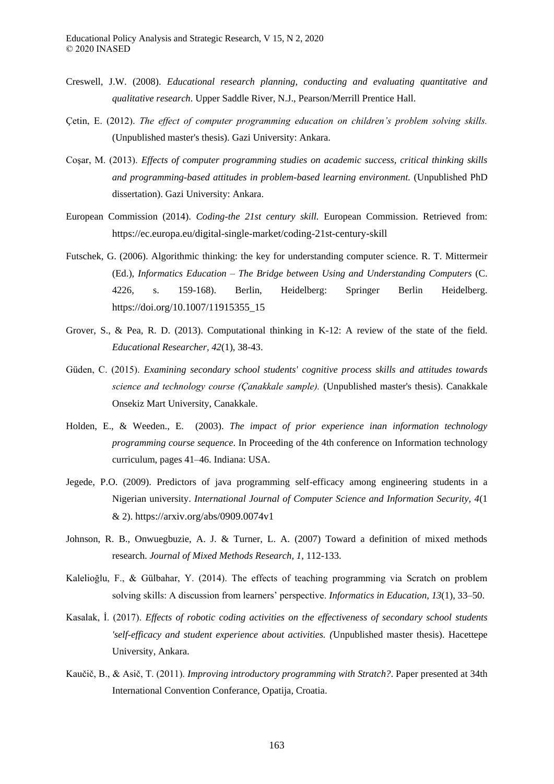- Creswell, J.W. (2008). *Educational research planning, conducting and evaluating quantitative and qualitative research*. Upper Saddle River, N.J., Pearson/Merrill Prentice Hall.
- Cetin, E. (2012). *The effect of computer programming education on children's problem solving skills.* (Unpublished master's thesis). Gazi University: Ankara.
- Coşar, M. (2013). *Effects of computer programming studies on academic success, critical thinking skills and programming-based attitudes in problem-based learning environment.* (Unpublished PhD dissertation). Gazi University: Ankara.
- European Commission (2014). *Coding-the 21st century skill.* European Commission. Retrieved from: https://ec.europa.eu/digital-single-market/coding-21st-century-skill
- Futschek, G. (2006). Algorithmic thinking: the key for understanding computer science. R. T. Mittermeir (Ed.), *Informatics Education – The Bridge between Using and Understanding Computers* (C. 4226, s. 159-168). Berlin, Heidelberg: Springer Berlin Heidelberg. https://doi.org/10.1007/11915355\_15
- Grover, S., & Pea, R. D. (2013). Computational thinking in K-12: A review of the state of the field. *Educational Researcher, 42*(1), 38-43.
- Güden, C. (2015). *Examining secondary school students' cognitive process skills and attitudes towards science and technology course (Canakkale sample).* (Unpublished master's thesis). Canakkale Onsekiz Mart University, Canakkale.
- Holden, E., & Weeden., E. (2003). *The impact of prior experience inan information technology programming course sequence*. In Proceeding of the 4th conference on Information technology curriculum, pages 41–46. Indiana: USA.
- Jegede, P.O. (2009). Predictors of java programming self-efficacy among engineering students in a Nigerian university. *International Journal of Computer Science and Information Security, 4*(1 & 2). https://arxiv.org/abs/0909.0074v1
- Johnson, R. B., Onwuegbuzie, A. J. & Turner, L. A. (2007) Toward a definition of mixed methods research. *Journal of Mixed Methods Research, 1*, 112-133.
- Kalelioğlu, F., & Gülbahar, Y. (2014). The effects of teaching programming via Scratch on problem solving skills: A discussion from learners' perspective. *Informatics in Education, 13*(1), 33–50.
- Kasalak, İ. (2017). *Effects of robotic coding activities on the effectiveness of secondary school students 'self-efficacy and student experience about activities. (*Unpublished master thesis). Hacettepe University, Ankara.
- Kaučič, B., & Asič, T. (2011). *Improving introductory programming with Stratch?*. Paper presented at 34th International Convention Conferance, Opatija, Croatia.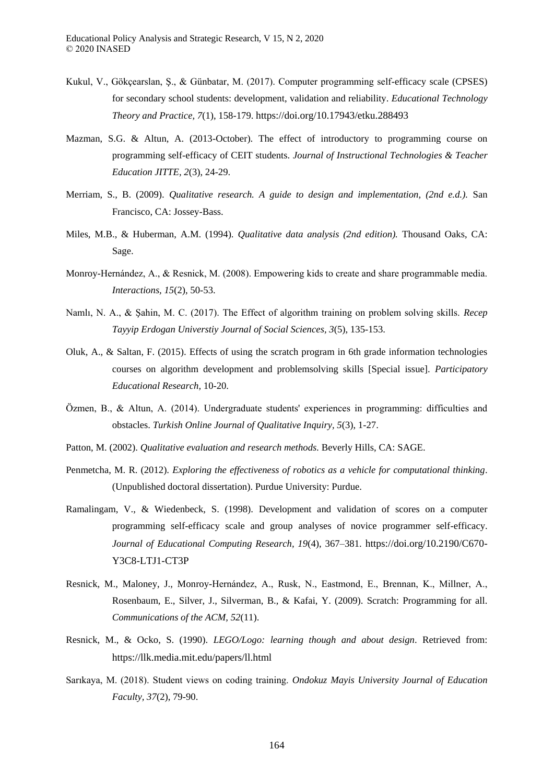- Kukul, V., Gökçearslan, Ş., & Günbatar, M. (2017). Computer programming self-efficacy scale (CPSES) for secondary school students: development, validation and reliability. *Educational Technology Theory and Practice, 7*(1), 158-179. https://doi.org/10.17943/etku.288493
- Mazman, S.G. & Altun, A. (2013-October). The effect of introductory to programming course on programming self-efficacy of CEIT students. *Journal of Instructional Technologies & Teacher Education JITTE, 2*(3), 24-29.
- Merriam, S., B. (2009). *Qualitative research. A guide to design and implementation, (2nd e.d.).* San Francisco, CA: Jossey-Bass.
- Miles, M.B., & Huberman, A.M. (1994). *Qualitative data analysis (2nd edition).* Thousand Oaks, CA: Sage.
- Monroy-Hernández, A., & Resnick, M. (2008). Empowering kids to create and share programmable media. *Interactions, 15*(2), 50-53.
- Namlı, N. A., & Şahin, M. C. (2017). The Effect of algorithm training on problem solving skills. *Recep Tayyip Erdogan Universtiy Journal of Social Sciences, 3*(5), 135-153.
- Oluk, A., & Saltan, F. (2015). Effects of using the scratch program in 6th grade information technologies courses on algorithm development and problemsolving skills [Special issue]. *Participatory Educational Research,* 10-20.
- Özmen, B., & Altun, A. (2014). Undergraduate students' experiences in programming: difficulties and obstacles. *Turkish Online Journal of Qualitative Inquiry, 5*(3), 1-27.
- Patton, M. (2002). *Qualitative evaluation and research methods.* Beverly Hills, CA: SAGE.
- Penmetcha, M. R. (2012). *Exploring the effectiveness of robotics as a vehicle for computational thinking*. (Unpublished doctoral dissertation). Purdue University: Purdue.
- Ramalingam, V., & Wiedenbeck, S. (1998). Development and validation of scores on a computer programming self-efficacy scale and group analyses of novice programmer self-efficacy. *Journal of Educational Computing Research, 19*(4), 367–381. https://doi.org/10.2190/C670- Y3C8-LTJ1-CT3P
- Resnick, M., Maloney, J., Monroy-Hernández, A., Rusk, N., Eastmond, E., Brennan, K., Millner, A., Rosenbaum, E., Silver, J., Silverman, B., & Kafai, Y. (2009). Scratch: Programming for all. *Communications of the ACM, 52*(11).
- Resnick, M., & Ocko, S. (1990). *LEGO/Logo: learning though and about design*. Retrieved from: https://llk.media.mit.edu/papers/ll.html
- Sarıkaya, M. (2018). Student views on coding training. *Ondokuz Mayis University Journal of Education Faculty, 37*(2), 79-90.